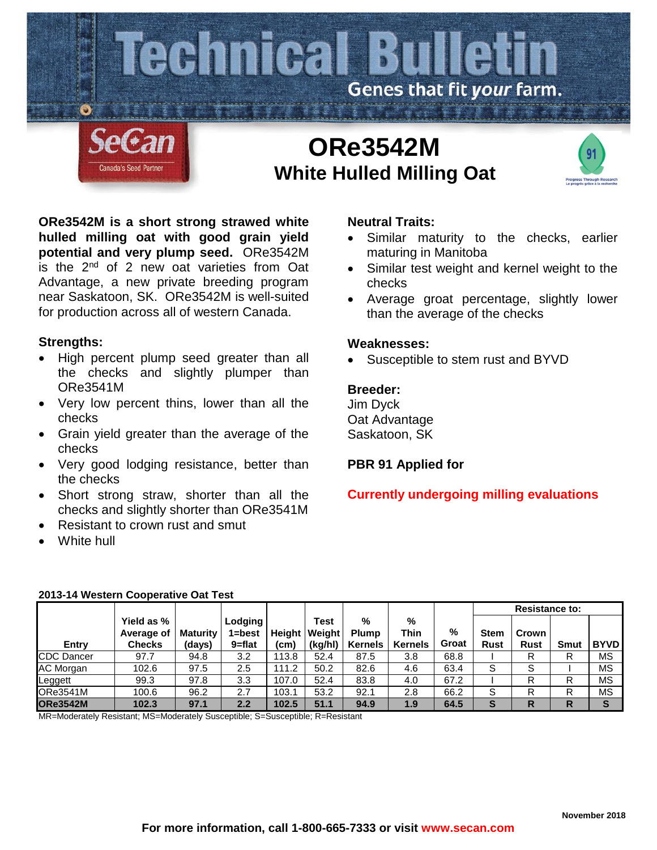

# **ORe3542M White Hulled Milling Oat**



**ORe3542M is a short strong strawed white hulled milling oat with good grain yield potential and very plump seed.** ORe3542M is the 2<sup>nd</sup> of 2 new oat varieties from Oat Advantage, a new private breeding program near Saskatoon, SK. ORe3542M is well-suited for production across all of western Canada.

## **Strengths:**

- High percent plump seed greater than all the checks and slightly plumper than ORe3541M
- Very low percent thins, lower than all the checks
- Grain yield greater than the average of the checks
- Very good lodging resistance, better than the checks
- Short strong straw, shorter than all the checks and slightly shorter than ORe3541M
- Resistant to crown rust and smut
- White hull

# **Neutral Traits:**

- Similar maturity to the checks, earlier maturing in Manitoba
- Similar test weight and kernel weight to the checks
- Average groat percentage, slightly lower than the average of the checks

### **Weaknesses:**

Susceptible to stem rust and BYVD

# **Breeder:**

Jim Dyck Oat Advantage Saskatoon, SK

# **PBR 91 Applied for**

# **Currently undergoing milling evaluations**

|                   |                                           |                    |                             |                |                           |                                     |                             |            | <b>Resistance to:</b>      |                      |      |             |
|-------------------|-------------------------------------------|--------------------|-----------------------------|----------------|---------------------------|-------------------------------------|-----------------------------|------------|----------------------------|----------------------|------|-------------|
| <b>Entry</b>      | Yield as %<br>Average of<br><b>Checks</b> | Maturity<br>(days) | Lodging<br>l=best<br>9=flat | Height<br>(cm) | Test<br>Weight<br>(kg/hl) | %<br><b>Plump</b><br><b>Kernels</b> | %<br>Thin<br><b>Kernels</b> | %<br>Groat | <b>Stem</b><br><b>Rust</b> | Crown<br><b>Rust</b> | Smut | <b>BYVD</b> |
| <b>CDC</b> Dancer | 97.7                                      | 94.8               | 3.2                         | 113.8          | 52.4                      | 87.5                                | 3.8                         | 68.8       |                            | R                    | R    | <b>MS</b>   |
| AC Morgan         | 102.6                                     | 97.5               | 2.5                         | 111.2          | 50.2                      | 82.6                                | 4.6                         | 63.4       | S                          | S                    |      | <b>MS</b>   |
| Leggett           | 99.3                                      | 97.8               | 3.3                         | 107.0          | 52.4                      | 83.8                                | 4.0                         | 67.2       |                            | R                    | R    | <b>MS</b>   |
| ORe3541M          | 100.6                                     | 96.2               | 2.7                         | 103.1          | 53.2                      | 92.1                                | 2.8                         | 66.2       | S                          | R                    | R    | ΜS          |
| <b>ORe3542M</b>   | 102.3                                     | 97.1               | 2.2                         | 102.5          | 51.1                      | 94.9                                | 1.9                         | 64.5       | s                          | R                    | R    | S           |

#### **2013-14 Western Cooperative Oat Test**

MR=Moderately Resistant; MS=Moderately Susceptible; S=Susceptible; R=Resistant